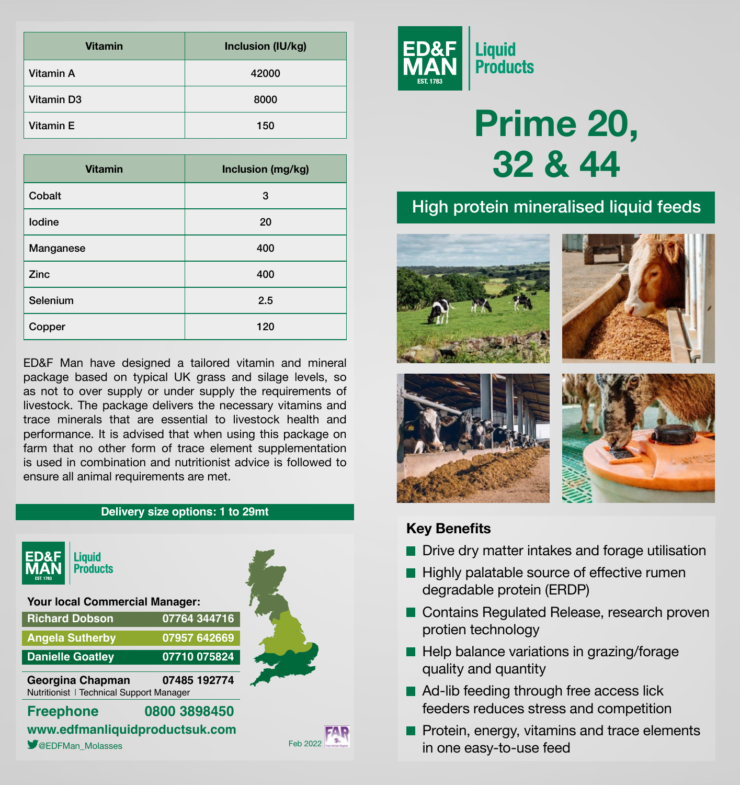| <b>Vitamin</b>         | Inclusion (IU/kg) |  |
|------------------------|-------------------|--|
| Vitamin A              | 42000             |  |
| Vitamin D <sub>3</sub> | 8000              |  |
| Vitamin E              | 150               |  |

| <b>Vitamin</b> | Inclusion (mg/kg) |  |
|----------------|-------------------|--|
| Cobalt         | 3                 |  |
| lodine         | 20                |  |
| Manganese      | 400               |  |
| Zinc           | 400               |  |
| Selenium       | 2.5               |  |
| Copper         | 120               |  |

ED&F Man have designed a tailored vitamin and mineral package based on typical UK grass and silage levels, so as not to over supply or under supply the requirements of livestock. The package delivers the necessary vitamins and trace minerals that are essential to livestock health and performance. It is advised that when using this package on farm that no other form of trace element supplementation is used in combination and nutritionist advice is followed to ensure all animal requirements are met.





# **Prime 20, 32 & 44**

## High protein mineralised liquid feeds



#### **Key Benefits**

- **Drive dry matter intakes and forage utilisation**
- $\blacksquare$  Highly palatable source of effective rumen degradable protein (ERDP)
- Contains Regulated Release, research proven protien technology
- Help balance variations in grazing/forage quality and quantity
- Ad-lib feeding through free access lick feeders reduces stress and competition
- **Protein, energy, vitamins and trace elements** in one easy-to-use feed